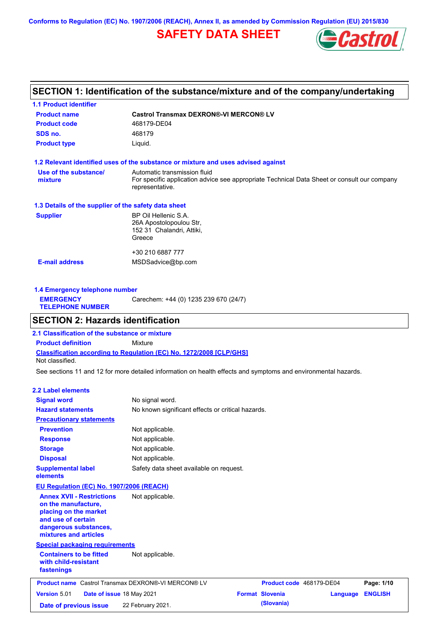**Conforms to Regulation (EC) No. 1907/2006 (REACH), Annex II, as amended by Commission Regulation (EU) 2015/830**

## **SAFETY DATA SHEET**



### **SECTION 1: Identification of the substance/mixture and of the company/undertaking**

| <b>1.1 Product identifier</b>                        |                                                                                                                                                |
|------------------------------------------------------|------------------------------------------------------------------------------------------------------------------------------------------------|
| <b>Product name</b>                                  | <b>Castrol Transmax DEXRON®-VI MERCON® LV</b>                                                                                                  |
| <b>Product code</b>                                  | 468179-DE04                                                                                                                                    |
| SDS no.                                              | 468179                                                                                                                                         |
| <b>Product type</b>                                  | Liquid.                                                                                                                                        |
|                                                      | 1.2 Relevant identified uses of the substance or mixture and uses advised against                                                              |
| Use of the substance/<br>mixture                     | Automatic transmission fluid<br>For specific application advice see appropriate Technical Data Sheet or consult our company<br>representative. |
| 1.3 Details of the supplier of the safety data sheet |                                                                                                                                                |
| <b>Supplier</b>                                      | BP Oil Hellenic S.A.<br>26A Apostolopoulou Str,<br>152 31 Chalandri, Attiki,<br>Greece                                                         |
|                                                      | +30 210 6887 777                                                                                                                               |
| <b>E-mail address</b>                                | MSDSadvice@bp.com                                                                                                                              |
|                                                      |                                                                                                                                                |

| 1.4 Emergency telephone number              |                                       |
|---------------------------------------------|---------------------------------------|
| <b>EMERGENCY</b><br><b>TELEPHONE NUMBER</b> | Carechem: +44 (0) 1235 239 670 (24/7) |
|                                             |                                       |

### **SECTION 2: Hazards identification**

**Classification according to Regulation (EC) No. 1272/2008 [CLP/GHS] 2.1 Classification of the substance or mixture Product definition** Mixture Not classified.

See sections 11 and 12 for more detailed information on health effects and symptoms and environmental hazards.

#### **2.2 Label elements**

| <b>Signal word</b>                                                                                                                                       | No signal word.                                            |                          |          |                |
|----------------------------------------------------------------------------------------------------------------------------------------------------------|------------------------------------------------------------|--------------------------|----------|----------------|
| <b>Hazard statements</b>                                                                                                                                 | No known significant effects or critical hazards.          |                          |          |                |
| <b>Precautionary statements</b>                                                                                                                          |                                                            |                          |          |                |
| <b>Prevention</b>                                                                                                                                        | Not applicable.                                            |                          |          |                |
| <b>Response</b>                                                                                                                                          | Not applicable.                                            |                          |          |                |
| <b>Storage</b>                                                                                                                                           | Not applicable.                                            |                          |          |                |
| <b>Disposal</b>                                                                                                                                          | Not applicable.                                            |                          |          |                |
| <b>Supplemental label</b><br>elements                                                                                                                    | Safety data sheet available on request.                    |                          |          |                |
| <b>EU Regulation (EC) No. 1907/2006 (REACH)</b>                                                                                                          |                                                            |                          |          |                |
| <b>Annex XVII - Restrictions</b><br>on the manufacture.<br>placing on the market<br>and use of certain<br>dangerous substances,<br>mixtures and articles | Not applicable.                                            |                          |          |                |
| <b>Special packaging requirements</b><br><b>Containers to be fitted</b>                                                                                  | Not applicable.                                            |                          |          |                |
| with child-resistant<br>fastenings                                                                                                                       |                                                            |                          |          |                |
|                                                                                                                                                          | <b>Product name</b> Castrol Transmax DEXRON®-VI MERCON® LV | Product code 468179-DE04 |          | Page: 1/10     |
| Version 5.01<br>Date of issue 18 May 2021                                                                                                                |                                                            | <b>Format Slovenia</b>   | Language | <b>ENGLISH</b> |
| Date of previous issue                                                                                                                                   | 22 February 2021.                                          | (Slovania)               |          |                |
|                                                                                                                                                          |                                                            |                          |          |                |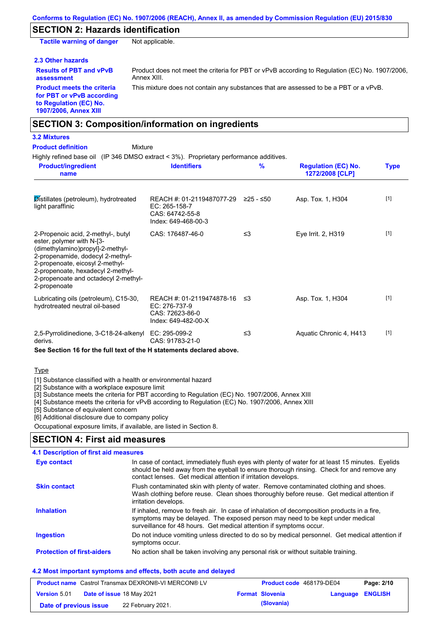### **SECTION 2: Hazards identification**

**Tactile warning of danger** Not applicable.

#### **2.3 Other hazards**

Product does not meet the criteria for PBT or vPvB according to Regulation (EC) No. 1907/2006, Annex XIII.

**assessment Product meets the criteria for PBT or vPvB according to Regulation (EC) No. 1907/2006, Annex XIII**

**Results of PBT and vPvB** 

This mixture does not contain any substances that are assessed to be a PBT or a vPvB.

### **SECTION 3: Composition/information on ingredients**

Mixture

#### **3.2 Mixtures**

**Product definition**

Highly refined base oil (IP 346 DMSO extract < 3%). Proprietary performance additives.

| <b>Product/ingredient</b><br>name                                                                                                                                                                                                                                       | <b>Identifiers</b>                                                                   | $\frac{9}{6}$ | <b>Regulation (EC) No.</b><br>1272/2008 [CLP] | Type  |
|-------------------------------------------------------------------------------------------------------------------------------------------------------------------------------------------------------------------------------------------------------------------------|--------------------------------------------------------------------------------------|---------------|-----------------------------------------------|-------|
| Distillates (petroleum), hydrotreated<br>light paraffinic                                                                                                                                                                                                               | REACH #: 01-2119487077-29<br>EC: 265-158-7<br>CAS: 64742-55-8<br>Index: 649-468-00-3 | ≥25 - ≤50     | Asp. Tox. 1, H304                             | $[1]$ |
| 2-Propenoic acid, 2-methyl-, butyl<br>ester, polymer with N-[3-<br>(dimethylamino)propyl]-2-methyl-<br>2-propenamide, dodecyl 2-methyl-<br>2-propenoate, eicosyl 2-methyl-<br>2-propenoate, hexadecyl 2-methyl-<br>2-propenoate and octadecyl 2-methyl-<br>2-propenoate | CAS: 176487-46-0                                                                     | ≤3            | Eye Irrit. 2, H319                            | $[1]$ |
| Lubricating oils (petroleum), C15-30,<br>hydrotreated neutral oil-based                                                                                                                                                                                                 | REACH #: 01-2119474878-16<br>EC: 276-737-9<br>CAS: 72623-86-0<br>Index: 649-482-00-X | - ≤3          | Asp. Tox. 1, H304                             | $[1]$ |
| 2,5-Pyrrolidinedione, 3-C18-24-alkenyl<br>derivs.                                                                                                                                                                                                                       | EC: 295-099-2<br>CAS: 91783-21-0                                                     | ≤3            | Aquatic Chronic 4, H413                       | $[1]$ |

**See Section 16 for the full text of the H statements declared above.**

#### Type

[1] Substance classified with a health or environmental hazard

[2] Substance with a workplace exposure limit

[3] Substance meets the criteria for PBT according to Regulation (EC) No. 1907/2006, Annex XIII

[4] Substance meets the criteria for vPvB according to Regulation (EC) No. 1907/2006, Annex XIII

[5] Substance of equivalent concern

[6] Additional disclosure due to company policy

Occupational exposure limits, if available, are listed in Section 8.

### **SECTION 4: First aid measures**

| 4.1 Description of first aid measures |                                                                                                                                                                                                                                                                |
|---------------------------------------|----------------------------------------------------------------------------------------------------------------------------------------------------------------------------------------------------------------------------------------------------------------|
| Eye contact                           | In case of contact, immediately flush eyes with plenty of water for at least 15 minutes. Eyelids<br>should be held away from the eyeball to ensure thorough rinsing. Check for and remove any<br>contact lenses. Get medical attention if irritation develops. |
| <b>Skin contact</b>                   | Flush contaminated skin with plenty of water. Remove contaminated clothing and shoes.<br>Wash clothing before reuse. Clean shoes thoroughly before reuse. Get medical attention if<br>irritation develops.                                                     |
| <b>Inhalation</b>                     | If inhaled, remove to fresh air. In case of inhalation of decomposition products in a fire,<br>symptoms may be delayed. The exposed person may need to be kept under medical<br>surveillance for 48 hours. Get medical attention if symptoms occur.            |
| <b>Ingestion</b>                      | Do not induce vomiting unless directed to do so by medical personnel. Get medical attention if<br>symptoms occur.                                                                                                                                              |
| <b>Protection of first-aiders</b>     | No action shall be taken involving any personal risk or without suitable training.                                                                                                                                                                             |

#### **4.2 Most important symptoms and effects, both acute and delayed**

| <b>Product name</b> Castrol Transmax DEXRON®-VI MERCON® LV |  |                                  | Product code 468179-DE04 |                        | Page: 2/10              |  |
|------------------------------------------------------------|--|----------------------------------|--------------------------|------------------------|-------------------------|--|
| <b>Version 5.01</b>                                        |  | <b>Date of issue 18 May 2021</b> |                          | <b>Format Slovenia</b> | <b>Language ENGLISH</b> |  |
| Date of previous issue                                     |  | 22 February 2021.                |                          | (Slovania)             |                         |  |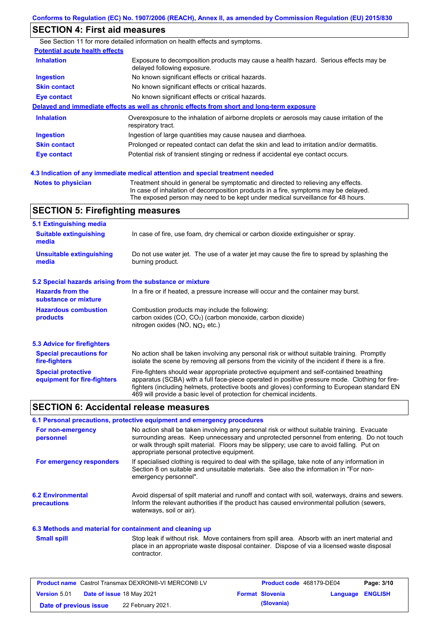### **SECTION 4: First aid measures**

| <b>Potential acute health effects</b> |                                                                                                                     |
|---------------------------------------|---------------------------------------------------------------------------------------------------------------------|
| <b>Inhalation</b>                     | Exposure to decomposition products may cause a health hazard. Serious effects may be<br>delayed following exposure. |
| <b>Ingestion</b>                      | No known significant effects or critical hazards.                                                                   |
| <b>Skin contact</b>                   | No known significant effects or critical hazards.                                                                   |
| <b>Eye contact</b>                    | No known significant effects or critical hazards.                                                                   |
|                                       | Delayed and immediate effects as well as chronic effects from short and long-term exposure                          |
| <b>Inhalation</b>                     | Overexposure to the inhalation of airborne droplets or aerosols may cause irritation of the<br>respiratory tract.   |
| <b>Ingestion</b>                      | Ingestion of large quantities may cause nausea and diarrhoea.                                                       |
| <b>Skin contact</b>                   | Prolonged or repeated contact can defat the skin and lead to irritation and/or dermatitis.                          |
| Eye contact                           | Potential risk of transient stinging or redness if accidental eye contact occurs.                                   |

| <b>Notes to physician</b> |  |  |  |
|---------------------------|--|--|--|

Treatment should in general be symptomatic and directed to relieving any effects. In case of inhalation of decomposition products in a fire, symptoms may be delayed. The exposed person may need to be kept under medical surveillance for 48 hours.

## **SECTION 5: Firefighting measures**

| 5.1 Extinguishing media                                   |                                                                                                                                                                                                                                                                                                                                                                   |
|-----------------------------------------------------------|-------------------------------------------------------------------------------------------------------------------------------------------------------------------------------------------------------------------------------------------------------------------------------------------------------------------------------------------------------------------|
| <b>Suitable extinguishing</b><br>media                    | In case of fire, use foam, dry chemical or carbon dioxide extinguisher or spray.                                                                                                                                                                                                                                                                                  |
| <b>Unsuitable extinguishing</b><br>media                  | Do not use water jet. The use of a water jet may cause the fire to spread by splashing the<br>burning product.                                                                                                                                                                                                                                                    |
| 5.2 Special hazards arising from the substance or mixture |                                                                                                                                                                                                                                                                                                                                                                   |
| <b>Hazards from the</b><br>substance or mixture           | In a fire or if heated, a pressure increase will occur and the container may burst.                                                                                                                                                                                                                                                                               |
| <b>Hazardous combustion</b><br>products                   | Combustion products may include the following:<br>carbon oxides (CO, CO <sub>2</sub> ) (carbon monoxide, carbon dioxide)<br>nitrogen oxides (NO, NO <sub>2</sub> etc.)                                                                                                                                                                                            |
| 5.3 Advice for firefighters                               |                                                                                                                                                                                                                                                                                                                                                                   |
| <b>Special precautions for</b><br>fire-fighters           | No action shall be taken involving any personal risk or without suitable training. Promptly<br>isolate the scene by removing all persons from the vicinity of the incident if there is a fire.                                                                                                                                                                    |
| <b>Special protective</b><br>equipment for fire-fighters  | Fire-fighters should wear appropriate protective equipment and self-contained breathing<br>apparatus (SCBA) with a full face-piece operated in positive pressure mode. Clothing for fire-<br>fighters (including helmets, protective boots and gloves) conforming to European standard EN<br>469 will provide a basic level of protection for chemical incidents. |

#### **SECTION 6: Accidental release measures**

#### **6.1 Personal precautions, protective equipment and emergency procedures**

| For non-emergency<br>personnel          | No action shall be taken involving any personal risk or without suitable training. Evacuate<br>surrounding areas. Keep unnecessary and unprotected personnel from entering. Do not touch<br>or walk through spilt material. Floors may be slippery; use care to avoid falling. Put on<br>appropriate personal protective equipment. |
|-----------------------------------------|-------------------------------------------------------------------------------------------------------------------------------------------------------------------------------------------------------------------------------------------------------------------------------------------------------------------------------------|
| For emergency responders                | If specialised clothing is required to deal with the spillage, take note of any information in<br>Section 8 on suitable and unsuitable materials. See also the information in "For non-<br>emergency personnel".                                                                                                                    |
| <b>6.2 Environmental</b><br>precautions | Avoid dispersal of spilt material and runoff and contact with soil, waterways, drains and sewers.<br>Inform the relevant authorities if the product has caused environmental pollution (sewers,<br>waterways, soil or air).                                                                                                         |

#### **6.3 Methods and material for containment and cleaning up**

Stop leak if without risk. Move containers from spill area. Absorb with an inert material and place in an appropriate waste disposal container. Dispose of via a licensed waste disposal contractor. **Small spill**

| <b>Product name</b> Castrol Transmax DEXRON®-VI MERCON® LV |  |                                  | <b>Product code</b> 468179-DE04 |                        | Page: 3/10              |  |
|------------------------------------------------------------|--|----------------------------------|---------------------------------|------------------------|-------------------------|--|
| <b>Version 5.01</b>                                        |  | <b>Date of issue 18 May 2021</b> |                                 | <b>Format Slovenia</b> | <b>Language ENGLISH</b> |  |
| Date of previous issue                                     |  | 22 February 2021.                |                                 | (Slovania)             |                         |  |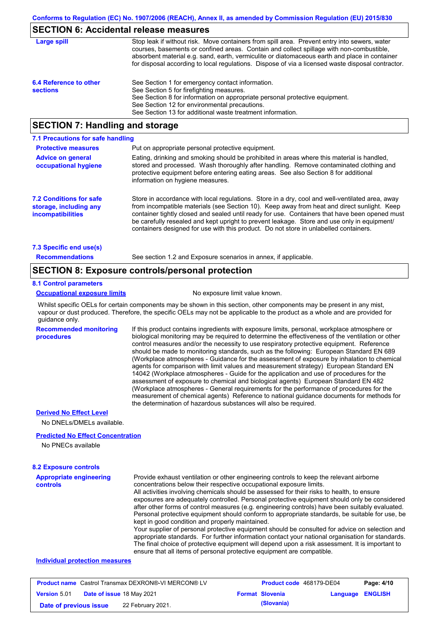### **SECTION 6: Accidental release measures**

| Large spill                               | Stop leak if without risk. Move containers from spill area. Prevent entry into sewers, water<br>courses, basements or confined areas. Contain and collect spillage with non-combustible,<br>absorbent material e.g. sand, earth, vermiculite or diatomaceous earth and place in container<br>for disposal according to local regulations. Dispose of via a licensed waste disposal contractor. |
|-------------------------------------------|------------------------------------------------------------------------------------------------------------------------------------------------------------------------------------------------------------------------------------------------------------------------------------------------------------------------------------------------------------------------------------------------|
| 6.4 Reference to other<br><b>sections</b> | See Section 1 for emergency contact information.<br>See Section 5 for firefighting measures.<br>See Section 8 for information on appropriate personal protective equipment.<br>See Section 12 for environmental precautions.<br>See Section 13 for additional waste treatment information.                                                                                                     |

### **SECTION 7: Handling and storage**

| 7.1 Precautions for safe handling                                                    |                                                                                                                                                                                                                                                                                                                                                                                                                                                                                          |
|--------------------------------------------------------------------------------------|------------------------------------------------------------------------------------------------------------------------------------------------------------------------------------------------------------------------------------------------------------------------------------------------------------------------------------------------------------------------------------------------------------------------------------------------------------------------------------------|
| <b>Protective measures</b>                                                           | Put on appropriate personal protective equipment.                                                                                                                                                                                                                                                                                                                                                                                                                                        |
| <b>Advice on general</b><br>occupational hygiene                                     | Eating, drinking and smoking should be prohibited in areas where this material is handled.<br>stored and processed. Wash thoroughly after handling. Remove contaminated clothing and<br>protective equipment before entering eating areas. See also Section 8 for additional<br>information on hygiene measures.                                                                                                                                                                         |
| <b>7.2 Conditions for safe</b><br>storage, including any<br><b>incompatibilities</b> | Store in accordance with local requlations. Store in a dry, cool and well-ventilated area, away<br>from incompatible materials (see Section 10). Keep away from heat and direct sunlight. Keep<br>container tightly closed and sealed until ready for use. Containers that have been opened must<br>be carefully resealed and kept upright to prevent leakage. Store and use only in equipment/<br>containers designed for use with this product. Do not store in unlabelled containers. |
| 7.3 Specific end use(s)                                                              |                                                                                                                                                                                                                                                                                                                                                                                                                                                                                          |
| <b>Recommendations</b>                                                               | See section 1.2 and Exposure scenarios in annex, if applicable.                                                                                                                                                                                                                                                                                                                                                                                                                          |

### **SECTION 8: Exposure controls/personal protection**

#### **8.1 Control parameters**

**Occupational exposure limits** No exposure limit value known.

Whilst specific OELs for certain components may be shown in this section, other components may be present in any mist, vapour or dust produced. Therefore, the specific OELs may not be applicable to the product as a whole and are provided for guidance only.

**Recommended monitoring procedures** If this product contains ingredients with exposure limits, personal, workplace atmosphere or biological monitoring may be required to determine the effectiveness of the ventilation or other control measures and/or the necessity to use respiratory protective equipment. Reference should be made to monitoring standards, such as the following: European Standard EN 689 (Workplace atmospheres - Guidance for the assessment of exposure by inhalation to chemical agents for comparison with limit values and measurement strategy) European Standard EN 14042 (Workplace atmospheres - Guide for the application and use of procedures for the assessment of exposure to chemical and biological agents) European Standard EN 482 (Workplace atmospheres - General requirements for the performance of procedures for the measurement of chemical agents) Reference to national guidance documents for methods for the determination of hazardous substances will also be required.

#### **Derived No Effect Level**

No DNELs/DMELs available.

#### **Predicted No Effect Concentration**

No PNECs available

#### **8.2 Exposure controls**

| <b>Appropriate engineering</b><br>controls | Provide exhaust ventilation or other engineering controls to keep the relevant airborne<br>concentrations below their respective occupational exposure limits.                                  |
|--------------------------------------------|-------------------------------------------------------------------------------------------------------------------------------------------------------------------------------------------------|
|                                            | All activities involving chemicals should be assessed for their risks to health, to ensure                                                                                                      |
|                                            | exposures are adequately controlled. Personal protective equipment should only be considered<br>after other forms of control measures (e.g. engineering controls) have been suitably evaluated. |
|                                            | Personal protective equipment should conform to appropriate standards, be suitable for use, be                                                                                                  |
|                                            | kept in good condition and properly maintained.                                                                                                                                                 |
|                                            | Your supplier of personal protective equipment should be consulted for advice on selection and                                                                                                  |
|                                            | appropriate standards. For further information contact your national organisation for standards.                                                                                                |
|                                            | The final choice of protective equipment will depend upon a risk assessment. It is important to                                                                                                 |
|                                            | ensure that all items of personal protective equipment are compatible.                                                                                                                          |

#### **Individual protection measures**

| <b>Product name</b> Castrol Transmax DEXRON®-VI MERCON® LV |  | Product code 468179-DE04  |  | Page: 4/10             |                         |  |
|------------------------------------------------------------|--|---------------------------|--|------------------------|-------------------------|--|
| <b>Version 5.01</b>                                        |  | Date of issue 18 May 2021 |  | <b>Format Slovenia</b> | <b>Language ENGLISH</b> |  |
| Date of previous issue                                     |  | 22 February 2021.         |  | (Slovania)             |                         |  |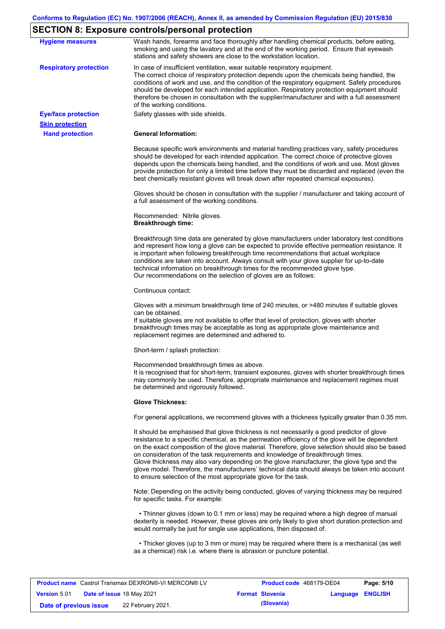## **SECTION 8: Exposure controls/personal protection**

| <b>Hygiene measures</b>                              | Wash hands, forearms and face thoroughly after handling chemical products, before eating,<br>smoking and using the lavatory and at the end of the working period. Ensure that eyewash<br>stations and safety showers are close to the workstation location.                                                                                                                                                                                                                                                                                                                                                                                       |
|------------------------------------------------------|---------------------------------------------------------------------------------------------------------------------------------------------------------------------------------------------------------------------------------------------------------------------------------------------------------------------------------------------------------------------------------------------------------------------------------------------------------------------------------------------------------------------------------------------------------------------------------------------------------------------------------------------------|
| <b>Respiratory protection</b>                        | In case of insufficient ventilation, wear suitable respiratory equipment.<br>The correct choice of respiratory protection depends upon the chemicals being handled, the<br>conditions of work and use, and the condition of the respiratory equipment. Safety procedures<br>should be developed for each intended application. Respiratory protection equipment should<br>therefore be chosen in consultation with the supplier/manufacturer and with a full assessment<br>of the working conditions.                                                                                                                                             |
| <b>Eye/face protection</b><br><b>Skin protection</b> | Safety glasses with side shields.                                                                                                                                                                                                                                                                                                                                                                                                                                                                                                                                                                                                                 |
| <b>Hand protection</b>                               | <b>General Information:</b>                                                                                                                                                                                                                                                                                                                                                                                                                                                                                                                                                                                                                       |
|                                                      | Because specific work environments and material handling practices vary, safety procedures<br>should be developed for each intended application. The correct choice of protective gloves<br>depends upon the chemicals being handled, and the conditions of work and use. Most gloves<br>provide protection for only a limited time before they must be discarded and replaced (even the<br>best chemically resistant gloves will break down after repeated chemical exposures).                                                                                                                                                                  |
|                                                      | Gloves should be chosen in consultation with the supplier / manufacturer and taking account of<br>a full assessment of the working conditions.                                                                                                                                                                                                                                                                                                                                                                                                                                                                                                    |
|                                                      | Recommended: Nitrile gloves.<br><b>Breakthrough time:</b>                                                                                                                                                                                                                                                                                                                                                                                                                                                                                                                                                                                         |
|                                                      | Breakthrough time data are generated by glove manufacturers under laboratory test conditions<br>and represent how long a glove can be expected to provide effective permeation resistance. It<br>is important when following breakthrough time recommendations that actual workplace<br>conditions are taken into account. Always consult with your glove supplier for up-to-date<br>technical information on breakthrough times for the recommended glove type.<br>Our recommendations on the selection of gloves are as follows:                                                                                                                |
|                                                      | Continuous contact:                                                                                                                                                                                                                                                                                                                                                                                                                                                                                                                                                                                                                               |
|                                                      | Gloves with a minimum breakthrough time of 240 minutes, or >480 minutes if suitable gloves<br>can be obtained.<br>If suitable gloves are not available to offer that level of protection, gloves with shorter<br>breakthrough times may be acceptable as long as appropriate glove maintenance and<br>replacement regimes are determined and adhered to.                                                                                                                                                                                                                                                                                          |
|                                                      | Short-term / splash protection:                                                                                                                                                                                                                                                                                                                                                                                                                                                                                                                                                                                                                   |
|                                                      | Recommended breakthrough times as above.<br>It is recognised that for short-term, transient exposures, gloves with shorter breakthrough times<br>may commonly be used. Therefore, appropriate maintenance and replacement regimes must<br>be determined and rigorously followed.                                                                                                                                                                                                                                                                                                                                                                  |
|                                                      | <b>Glove Thickness:</b>                                                                                                                                                                                                                                                                                                                                                                                                                                                                                                                                                                                                                           |
|                                                      | For general applications, we recommend gloves with a thickness typically greater than 0.35 mm.                                                                                                                                                                                                                                                                                                                                                                                                                                                                                                                                                    |
|                                                      | It should be emphasised that glove thickness is not necessarily a good predictor of glove<br>resistance to a specific chemical, as the permeation efficiency of the glove will be dependent<br>on the exact composition of the glove material. Therefore, glove selection should also be based<br>on consideration of the task requirements and knowledge of breakthrough times.<br>Glove thickness may also vary depending on the glove manufacturer, the glove type and the<br>glove model. Therefore, the manufacturers' technical data should always be taken into account<br>to ensure selection of the most appropriate glove for the task. |
|                                                      | Note: Depending on the activity being conducted, gloves of varying thickness may be required<br>for specific tasks. For example:                                                                                                                                                                                                                                                                                                                                                                                                                                                                                                                  |
|                                                      | • Thinner gloves (down to 0.1 mm or less) may be required where a high degree of manual<br>dexterity is needed. However, these gloves are only likely to give short duration protection and<br>would normally be just for single use applications, then disposed of.                                                                                                                                                                                                                                                                                                                                                                              |
|                                                      | • Thicker gloves (up to 3 mm or more) may be required where there is a mechanical (as well<br>as a chemical) risk i.e. where there is abrasion or puncture potential.                                                                                                                                                                                                                                                                                                                                                                                                                                                                             |

| <b>Product name</b> Castrol Transmax DEXRON®-VI MERCON® LV |  | Product code 468179-DE04  |  | Page: 5/10             |                         |  |
|------------------------------------------------------------|--|---------------------------|--|------------------------|-------------------------|--|
| <b>Version 5.01</b>                                        |  | Date of issue 18 May 2021 |  | <b>Format Slovenia</b> | <b>Language ENGLISH</b> |  |
| Date of previous issue                                     |  | 22 February 2021.         |  | (Slovania)             |                         |  |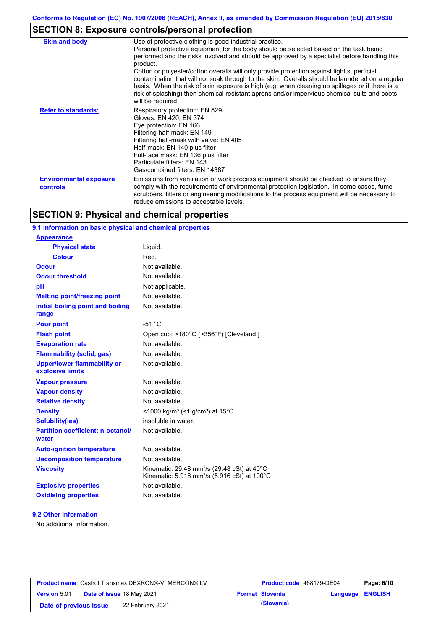## **SECTION 8: Exposure controls/personal protection**

| <b>Skin and body</b>                      | Use of protective clothing is good industrial practice.<br>Personal protective equipment for the body should be selected based on the task being<br>performed and the risks involved and should be approved by a specialist before handling this<br>product.<br>Cotton or polyester/cotton overalls will only provide protection against light superficial<br>contamination that will not soak through to the skin. Overalls should be laundered on a regular<br>basis. When the risk of skin exposure is high (e.g. when cleaning up spillages or if there is a |
|-------------------------------------------|------------------------------------------------------------------------------------------------------------------------------------------------------------------------------------------------------------------------------------------------------------------------------------------------------------------------------------------------------------------------------------------------------------------------------------------------------------------------------------------------------------------------------------------------------------------|
|                                           | risk of splashing) then chemical resistant aprons and/or impervious chemical suits and boots<br>will be required.                                                                                                                                                                                                                                                                                                                                                                                                                                                |
| <b>Refer to standards:</b>                | Respiratory protection: EN 529<br>Gloves: EN 420, EN 374<br>Eye protection: EN 166<br>Filtering half-mask: EN 149<br>Filtering half-mask with valve: EN 405<br>Half-mask: EN 140 plus filter<br>Full-face mask: EN 136 plus filter<br>Particulate filters: EN 143<br>Gas/combined filters: EN 14387                                                                                                                                                                                                                                                              |
| <b>Environmental exposure</b><br>controls | Emissions from ventilation or work process equipment should be checked to ensure they<br>comply with the requirements of environmental protection legislation. In some cases, fume<br>scrubbers, filters or engineering modifications to the process equipment will be necessary to<br>reduce emissions to acceptable levels.                                                                                                                                                                                                                                    |

### **SECTION 9: Physical and chemical properties**

### **9.1 Information on basic physical and chemical properties**

| <b>Appearance</b>                                      |                                                                                                                                          |
|--------------------------------------------------------|------------------------------------------------------------------------------------------------------------------------------------------|
| <b>Physical state</b>                                  | Liquid.                                                                                                                                  |
| <b>Colour</b>                                          | Red.                                                                                                                                     |
| Odour                                                  | Not available.                                                                                                                           |
| <b>Odour threshold</b>                                 | Not available.                                                                                                                           |
| pH                                                     | Not applicable.                                                                                                                          |
| <b>Melting point/freezing point</b>                    | Not available.                                                                                                                           |
| Initial boiling point and boiling<br>range             | Not available.                                                                                                                           |
| <b>Pour point</b>                                      | $-51 °C$                                                                                                                                 |
| <b>Flash point</b>                                     | Open cup: >180°C (>356°F) [Cleveland.]                                                                                                   |
| <b>Evaporation rate</b>                                | Not available.                                                                                                                           |
| <b>Flammability (solid, gas)</b>                       | Not available.                                                                                                                           |
| <b>Upper/lower flammability or</b><br>explosive limits | Not available.                                                                                                                           |
| <b>Vapour pressure</b>                                 | Not available.                                                                                                                           |
| <b>Vapour density</b>                                  | Not available.                                                                                                                           |
| <b>Relative density</b>                                | Not available.                                                                                                                           |
| <b>Density</b>                                         | <1000 kg/m <sup>3</sup> (<1 g/cm <sup>3</sup> ) at 15 <sup>°</sup> C                                                                     |
| Solubility(ies)                                        | insoluble in water.                                                                                                                      |
| <b>Partition coefficient: n-octanol/</b><br>water      | Not available.                                                                                                                           |
| <b>Auto-ignition temperature</b>                       | Not available.                                                                                                                           |
| <b>Decomposition temperature</b>                       | Not available.                                                                                                                           |
| <b>Viscosity</b>                                       | Kinematic: 29.48 mm <sup>2</sup> /s (29.48 cSt) at 40 $\degree$ C<br>Kinematic: 5.916 mm <sup>2</sup> /s (5.916 cSt) at 100 $^{\circ}$ C |
| <b>Explosive properties</b>                            | Not available                                                                                                                            |
| <b>Oxidising properties</b>                            | Not available.                                                                                                                           |

#### **9.2 Other information**

No additional information.

| <b>Product name</b> Castrol Transmax DEXRON®-VI MERCON® LV |                                  | Product code 468179-DE04 |  | Page: 6/10             |                         |  |
|------------------------------------------------------------|----------------------------------|--------------------------|--|------------------------|-------------------------|--|
| <b>Version 5.01</b>                                        | <b>Date of issue 18 May 2021</b> |                          |  | <b>Format Slovenia</b> | <b>Language ENGLISH</b> |  |
| Date of previous issue                                     |                                  | 22 February 2021.        |  | (Slovania)             |                         |  |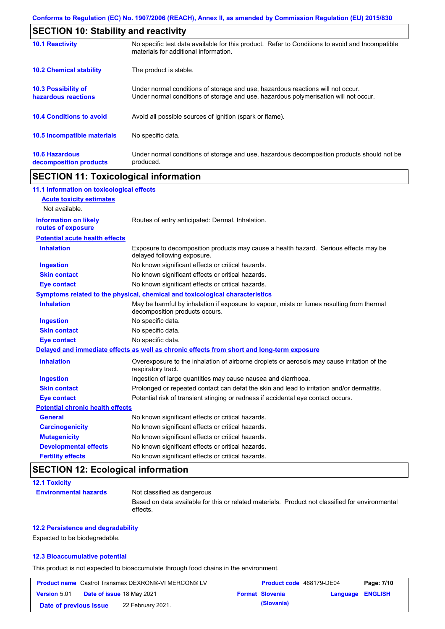| <b>SECTION 10: Stability and reactivity</b>       |                                                                                                                                                                         |
|---------------------------------------------------|-------------------------------------------------------------------------------------------------------------------------------------------------------------------------|
| <b>10.1 Reactivity</b>                            | No specific test data available for this product. Refer to Conditions to avoid and Incompatible<br>materials for additional information.                                |
| <b>10.2 Chemical stability</b>                    | The product is stable.                                                                                                                                                  |
| <b>10.3 Possibility of</b><br>hazardous reactions | Under normal conditions of storage and use, hazardous reactions will not occur.<br>Under normal conditions of storage and use, hazardous polymerisation will not occur. |
| <b>10.4 Conditions to avoid</b>                   | Avoid all possible sources of ignition (spark or flame).                                                                                                                |
| <b>10.5 Incompatible materials</b>                | No specific data.                                                                                                                                                       |
| <b>10.6 Hazardous</b><br>decomposition products   | Under normal conditions of storage and use, hazardous decomposition products should not be<br>produced.                                                                 |

## **SECTION 11: Toxicological information**

| 11.1 Information on toxicological effects |                                                                                                                             |
|-------------------------------------------|-----------------------------------------------------------------------------------------------------------------------------|
| <b>Acute toxicity estimates</b>           |                                                                                                                             |
| Not available.                            |                                                                                                                             |
| <b>Information on likely</b>              | Routes of entry anticipated: Dermal, Inhalation.                                                                            |
| routes of exposure                        |                                                                                                                             |
| <b>Potential acute health effects</b>     |                                                                                                                             |
| <b>Inhalation</b>                         | Exposure to decomposition products may cause a health hazard. Serious effects may be<br>delayed following exposure.         |
| <b>Ingestion</b>                          | No known significant effects or critical hazards.                                                                           |
| <b>Skin contact</b>                       | No known significant effects or critical hazards.                                                                           |
| <b>Eye contact</b>                        | No known significant effects or critical hazards.                                                                           |
|                                           | Symptoms related to the physical, chemical and toxicological characteristics                                                |
| <b>Inhalation</b>                         | May be harmful by inhalation if exposure to vapour, mists or fumes resulting from thermal<br>decomposition products occurs. |
| <b>Ingestion</b>                          | No specific data.                                                                                                           |
| <b>Skin contact</b>                       | No specific data.                                                                                                           |
| <b>Eye contact</b>                        | No specific data.                                                                                                           |
|                                           | Delayed and immediate effects as well as chronic effects from short and long-term exposure                                  |
| <b>Inhalation</b>                         | Overexposure to the inhalation of airborne droplets or aerosols may cause irritation of the<br>respiratory tract.           |
| <b>Ingestion</b>                          | Ingestion of large quantities may cause nausea and diarrhoea.                                                               |
| <b>Skin contact</b>                       | Prolonged or repeated contact can defat the skin and lead to irritation and/or dermatitis.                                  |
| <b>Eye contact</b>                        | Potential risk of transient stinging or redness if accidental eye contact occurs.                                           |
| <b>Potential chronic health effects</b>   |                                                                                                                             |
| <b>General</b>                            | No known significant effects or critical hazards.                                                                           |
| <b>Carcinogenicity</b>                    | No known significant effects or critical hazards.                                                                           |
| <b>Mutagenicity</b>                       | No known significant effects or critical hazards.                                                                           |
| <b>Developmental effects</b>              | No known significant effects or critical hazards.                                                                           |
| <b>Fertility effects</b>                  | No known significant effects or critical hazards.                                                                           |

## **SECTION 12: Ecological information**

| <b>12.1 Toxicity</b>         |                                                                                                             |
|------------------------------|-------------------------------------------------------------------------------------------------------------|
| <b>Environmental hazards</b> | Not classified as dangerous                                                                                 |
|                              | Based on data available for this or related materials. Product not classified for environmental<br>effects. |

#### **12.2 Persistence and degradability**

Expected to be biodegradable.

#### **12.3 Bioaccumulative potential**

This product is not expected to bioaccumulate through food chains in the environment.

| <b>Product name</b> Castrol Transmax DEXRON®-VI MERCON® LV |  | Product code 468179-DE04         |  | Page: 7/10             |                  |  |
|------------------------------------------------------------|--|----------------------------------|--|------------------------|------------------|--|
| <b>Version 5.01</b>                                        |  | <b>Date of issue 18 May 2021</b> |  | <b>Format Slovenia</b> | Language ENGLISH |  |
| Date of previous issue                                     |  | 22 February 2021.                |  | (Slovania)             |                  |  |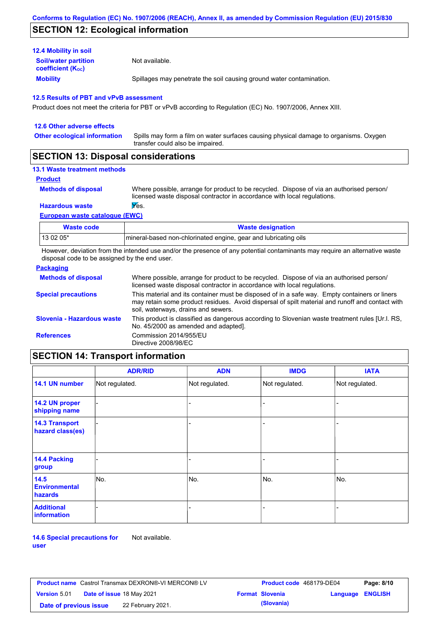### **SECTION 12: Ecological information**

| <b>12.4 Mobility in soil</b>                                  |                                                                      |
|---------------------------------------------------------------|----------------------------------------------------------------------|
| <b>Soil/water partition</b><br>coefficient (K <sub>oc</sub> ) | Not available.                                                       |
| <b>Mobility</b>                                               | Spillages may penetrate the soil causing ground water contamination. |

#### **12.5 Results of PBT and vPvB assessment**

Product does not meet the criteria for PBT or vPvB according to Regulation (EC) No. 1907/2006, Annex XIII.

| 12.6 Other adverse effects          |                                                                                                                           |
|-------------------------------------|---------------------------------------------------------------------------------------------------------------------------|
| <b>Other ecological information</b> | Spills may form a film on water surfaces causing physical damage to organisms. Oxygen<br>transfer could also be impaired. |
|                                     |                                                                                                                           |

### **SECTION 13: Disposal considerations**

#### **13.1 Waste treatment methods**

```
Product
```
**Methods of disposal**

Where possible, arrange for product to be recycled. Dispose of via an authorised person/ licensed waste disposal contractor in accordance with local regulations.

**Hazardous waste Wes.** 

**European waste catalogue (EWC)**

| <b>Waste code</b> | <b>Waste designation</b>                                        |
|-------------------|-----------------------------------------------------------------|
| 13 02 05*         | mineral-based non-chlorinated engine, gear and lubricating oils |

However, deviation from the intended use and/or the presence of any potential contaminants may require an alternative waste disposal code to be assigned by the end user.

#### **Packaging**

| <u>. wondging</u>          |                                                                                                                                                                                                                                         |
|----------------------------|-----------------------------------------------------------------------------------------------------------------------------------------------------------------------------------------------------------------------------------------|
| <b>Methods of disposal</b> | Where possible, arrange for product to be recycled. Dispose of via an authorised person/<br>licensed waste disposal contractor in accordance with local regulations.                                                                    |
| <b>Special precautions</b> | This material and its container must be disposed of in a safe way. Empty containers or liners<br>may retain some product residues. Avoid dispersal of spilt material and runoff and contact with<br>soil, waterways, drains and sewers. |
| Slovenia - Hazardous waste | This product is classified as dangerous according to Slovenian waste treatment rules [Ur.l. RS.]<br>No. 45/2000 as amended and adapted].                                                                                                |
| <b>References</b>          | Commission 2014/955/EU<br>Directive 2008/98/EC                                                                                                                                                                                          |

### **SECTION 14: Transport information**

|                                           | <b>ADR/RID</b> | <b>ADN</b>     | <b>IMDG</b>    | <b>IATA</b>    |
|-------------------------------------------|----------------|----------------|----------------|----------------|
| 14.1 UN number                            | Not regulated. | Not regulated. | Not regulated. | Not regulated. |
| 14.2 UN proper<br>shipping name           |                |                |                |                |
| <b>14.3 Transport</b><br>hazard class(es) |                |                |                |                |
| 14.4 Packing<br>group                     |                |                | ۰              |                |
| 14.5<br><b>Environmental</b><br>hazards   | No.            | No.            | No.            | No.            |
| <b>Additional</b><br>information          |                |                | -              |                |

**14.6 Special precautions for user** Not available.

| <b>Product name</b> Castrol Transmax DEXRON®-VI MERCON® LV |  | <b>Product code</b> 468179-DE04  |  | Page: 8/10             |                         |  |
|------------------------------------------------------------|--|----------------------------------|--|------------------------|-------------------------|--|
| <b>Version 5.01</b>                                        |  | <b>Date of issue 18 May 2021</b> |  | <b>Format Slovenia</b> | <b>Language ENGLISH</b> |  |
| Date of previous issue                                     |  | 22 February 2021.                |  | (Slovania)             |                         |  |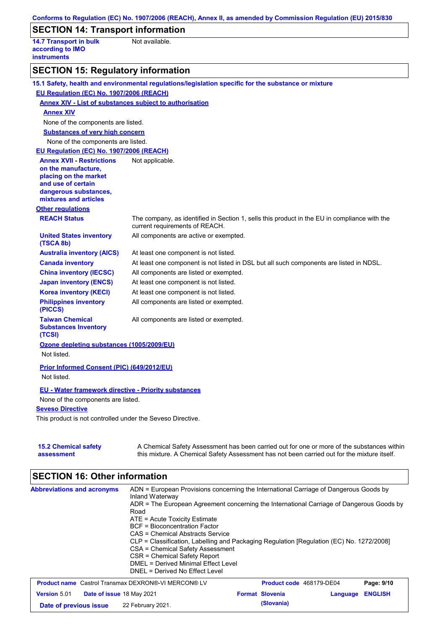|                                                                         | Conforms to Regulation (EC) No. 1907/2006 (REACH), Annex II, as amended by Commission Regulation (EU) 2015/830                                                                            |
|-------------------------------------------------------------------------|-------------------------------------------------------------------------------------------------------------------------------------------------------------------------------------------|
| <b>SECTION 14: Transport information</b>                                |                                                                                                                                                                                           |
| <b>14.7 Transport in bulk</b><br>according to IMO<br><b>instruments</b> | Not available.                                                                                                                                                                            |
| <b>SECTION 15: Regulatory information</b>                               |                                                                                                                                                                                           |
|                                                                         | 15.1 Safety, health and environmental regulations/legislation specific for the substance or mixture                                                                                       |
| EU Regulation (EC) No. 1907/2006 (REACH)                                |                                                                                                                                                                                           |
| <b>Annex XIV - List of substances subject to authorisation</b>          |                                                                                                                                                                                           |
| <b>Annex XIV</b>                                                        |                                                                                                                                                                                           |
| None of the components are listed.                                      |                                                                                                                                                                                           |
| <b>Substances of very high concern</b>                                  |                                                                                                                                                                                           |
| None of the components are listed.                                      |                                                                                                                                                                                           |
| EU Regulation (EC) No. 1907/2006 (REACH)                                |                                                                                                                                                                                           |
| <b>Annex XVII - Restrictions</b>                                        | Not applicable.                                                                                                                                                                           |
| on the manufacture,<br>placing on the market                            |                                                                                                                                                                                           |
| and use of certain                                                      |                                                                                                                                                                                           |
| dangerous substances,                                                   |                                                                                                                                                                                           |
| mixtures and articles                                                   |                                                                                                                                                                                           |
| <b>Other regulations</b>                                                |                                                                                                                                                                                           |
| <b>REACH Status</b>                                                     | The company, as identified in Section 1, sells this product in the EU in compliance with the<br>current requirements of REACH.                                                            |
| <b>United States inventory</b><br>(TSCA 8b)                             | All components are active or exempted.                                                                                                                                                    |
| <b>Australia inventory (AICS)</b>                                       | At least one component is not listed.                                                                                                                                                     |
| <b>Canada inventory</b>                                                 | At least one component is not listed in DSL but all such components are listed in NDSL.                                                                                                   |
| <b>China inventory (IECSC)</b>                                          | All components are listed or exempted.                                                                                                                                                    |
| <b>Japan inventory (ENCS)</b>                                           | At least one component is not listed.                                                                                                                                                     |
| <b>Korea inventory (KECI)</b>                                           | At least one component is not listed.                                                                                                                                                     |
| <b>Philippines inventory</b><br>(PICCS)                                 | All components are listed or exempted.                                                                                                                                                    |
| <b>Taiwan Chemical</b><br><b>Substances Inventory</b><br>(TCSI)         | All components are listed or exempted.                                                                                                                                                    |
| Ozone depleting substances (1005/2009/EU)<br>Not listed.                |                                                                                                                                                                                           |
| <b>Prior Informed Consent (PIC) (649/2012/EU)</b><br>Not listed.        |                                                                                                                                                                                           |
| <b>EU - Water framework directive - Priority substances</b>             |                                                                                                                                                                                           |
| None of the components are listed.                                      |                                                                                                                                                                                           |
| <b>Seveso Directive</b>                                                 |                                                                                                                                                                                           |
| This product is not controlled under the Seveso Directive.              |                                                                                                                                                                                           |
|                                                                         |                                                                                                                                                                                           |
| <b>15.2 Chemical safety</b><br>assessment                               | A Chemical Safety Assessment has been carried out for one or more of the substances within<br>this mixture. A Chemical Safety Assessment has not been carried out for the mixture itself. |

# **SECTION 16: Other information**

| <b>Abbreviations and acronyms</b>                          | ADN = European Provisions concerning the International Carriage of Dangerous Goods by<br>Inland Waterway<br>ADR = The European Agreement concerning the International Carriage of Dangerous Goods by<br>Road<br>$ATE = Acute Toxicity Estimate$<br>BCF = Bioconcentration Factor<br>CAS = Chemical Abstracts Service<br>CLP = Classification, Labelling and Packaging Regulation [Regulation (EC) No. 1272/2008]<br>CSA = Chemical Safety Assessment<br>CSR = Chemical Safety Report<br>DMEL = Derived Minimal Effect Level<br>DNEL = Derived No Effect Level |                        |                                 |                |
|------------------------------------------------------------|---------------------------------------------------------------------------------------------------------------------------------------------------------------------------------------------------------------------------------------------------------------------------------------------------------------------------------------------------------------------------------------------------------------------------------------------------------------------------------------------------------------------------------------------------------------|------------------------|---------------------------------|----------------|
| <b>Product name</b> Castrol Transmax DEXRON®-VI MERCON® LV |                                                                                                                                                                                                                                                                                                                                                                                                                                                                                                                                                               |                        | <b>Product code</b> 468179-DE04 | Page: 9/10     |
| <b>Version 5.01</b><br>Date of issue 18 May 2021           |                                                                                                                                                                                                                                                                                                                                                                                                                                                                                                                                                               | <b>Format Slovenia</b> | Language                        | <b>ENGLISH</b> |
| Date of previous issue                                     | 22 February 2021.                                                                                                                                                                                                                                                                                                                                                                                                                                                                                                                                             | (Slovania)             |                                 |                |